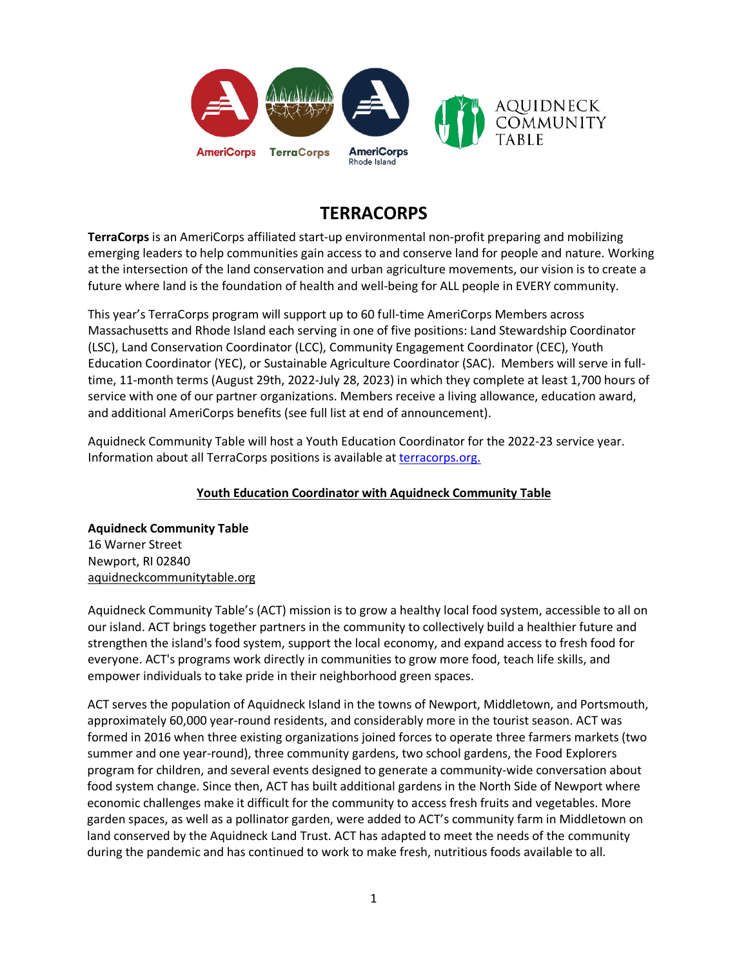

# **TERRACORPS**

**TerraCorps** is an AmeriCorps affiliated start-up environmental non-profit preparing and mobilizing emerging leaders to help communities gain access to and conserve land for people and nature. Working at the intersection of the land conservation and urban agriculture movements, our vision is to create a future where land is the foundation of health and well-being for ALL people in EVERY community.

This year's TerraCorps program will support up to 60 full-time AmeriCorps Members across Massachusetts and Rhode Island each serving in one of five positions: Land Stewardship Coordinator (LSC), Land Conservation Coordinator (LCC), Community Engagement Coordinator (CEC), Youth Education Coordinator (YEC), or Sustainable Agriculture Coordinator (SAC). Members will serve in fulltime, 11-month terms (August 29th, 2022-July 28, 2023) in which they complete at least 1,700 hours of service with one of our partner organizations. Members receive a living allowance, education award, and additional AmeriCorps benefits (see full list at end of announcement).

Aquidneck Community Table will host a Youth Education Coordinator for the 2022-23 service year. Information about all TerraCorps positions is available at [terracorps.org.](http://www.mountgrace.org/americorps-masslift)

# **Youth Education Coordinator with Aquidneck Community Table**

**Aquidneck Community Table** 16 Warner Street Newport, RI 02840 aquidneckcommunitytable.org

Aquidneck Community Table's (ACT) mission is to grow a healthy local food system, accessible to all on our island. ACT brings together partners in the community to collectively build a healthier future and strengthen the island's food system, support the local economy, and expand access to fresh food for everyone. ACT's programs work directly in communities to grow more food, teach life skills, and empower individuals to take pride in their neighborhood green spaces.

ACT serves the population of Aquidneck Island in the towns of Newport, Middletown, and Portsmouth, approximately 60,000 year-round residents, and considerably more in the tourist season. ACT was formed in 2016 when three existing organizations joined forces to operate three farmers markets (two summer and one year-round), three community gardens, two school gardens, the Food Explorers program for children, and several events designed to generate a community-wide conversation about food system change. Since then, ACT has built additional gardens in the North Side of Newport where economic challenges make it difficult for the community to access fresh fruits and vegetables. More garden spaces, as well as a pollinator garden, were added to ACT's community farm in Middletown on land conserved by the Aquidneck Land Trust. ACT has adapted to meet the needs of the community during the pandemic and has continued to work to make fresh, nutritious foods available to all.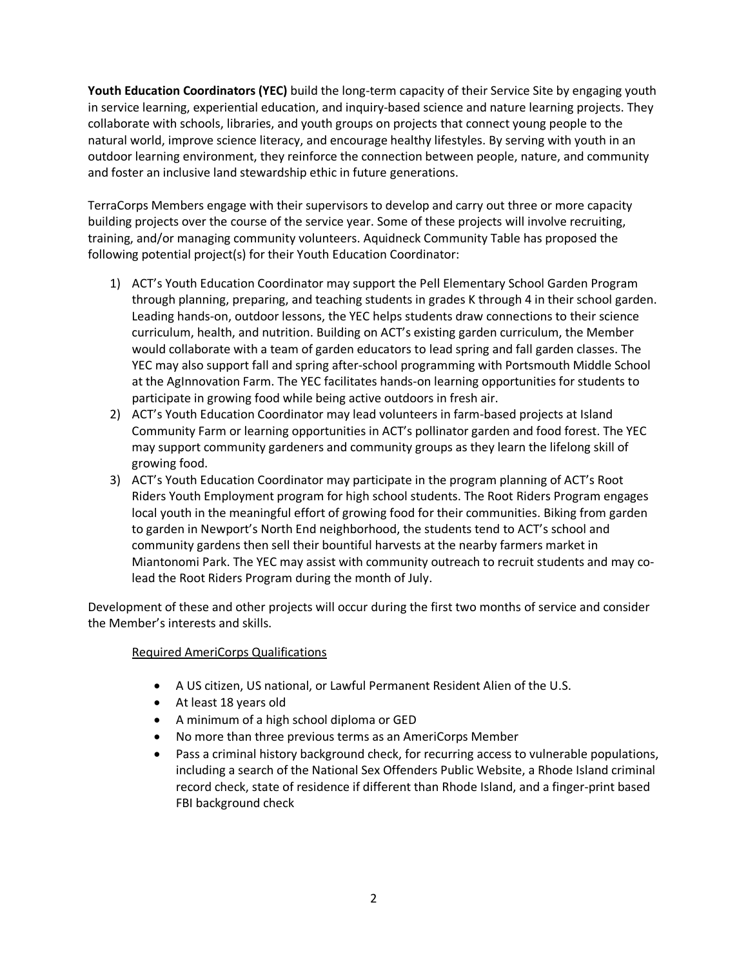**Youth Education Coordinators (YEC)** build the long-term capacity of their Service Site by engaging youth in service learning, experiential education, and inquiry-based science and nature learning projects. They collaborate with schools, libraries, and youth groups on projects that connect young people to the natural world, improve science literacy, and encourage healthy lifestyles. By serving with youth in an outdoor learning environment, they reinforce the connection between people, nature, and community and foster an inclusive land stewardship ethic in future generations.

TerraCorps Members engage with their supervisors to develop and carry out three or more capacity building projects over the course of the service year. Some of these projects will involve recruiting, training, and/or managing community volunteers. Aquidneck Community Table has proposed the following potential project(s) for their Youth Education Coordinator:

- 1) ACT's Youth Education Coordinator may support the Pell Elementary School Garden Program through planning, preparing, and teaching students in grades K through 4 in their school garden. Leading hands-on, outdoor lessons, the YEC helps students draw connections to their science curriculum, health, and nutrition. Building on ACT's existing garden curriculum, the Member would collaborate with a team of garden educators to lead spring and fall garden classes. The YEC may also support fall and spring after-school programming with Portsmouth Middle School at the AgInnovation Farm. The YEC facilitates hands-on learning opportunities for students to participate in growing food while being active outdoors in fresh air.
- 2) ACT's Youth Education Coordinator may lead volunteers in farm-based projects at Island Community Farm or learning opportunities in ACT's pollinator garden and food forest. The YEC may support community gardeners and community groups as they learn the lifelong skill of growing food.
- 3) ACT's Youth Education Coordinator may participate in the program planning of ACT's Root Riders Youth Employment program for high school students. The Root Riders Program engages local youth in the meaningful effort of growing food for their communities. Biking from garden to garden in Newport's North End neighborhood, the students tend to ACT's school and community gardens then sell their bountiful harvests at the nearby farmers market in Miantonomi Park. The YEC may assist with community outreach to recruit students and may colead the Root Riders Program during the month of July.

Development of these and other projects will occur during the first two months of service and consider the Member's interests and skills.

#### Required AmeriCorps Qualifications

- A US citizen, US national, or Lawful Permanent Resident Alien of the U.S.
- At least 18 years old
- A minimum of a high school diploma or GED
- No more than three previous terms as an AmeriCorps Member
- Pass a criminal history background check, for recurring access to vulnerable populations, including a search of the National Sex Offenders Public Website, a Rhode Island criminal record check, state of residence if different than Rhode Island, and a finger-print based FBI background check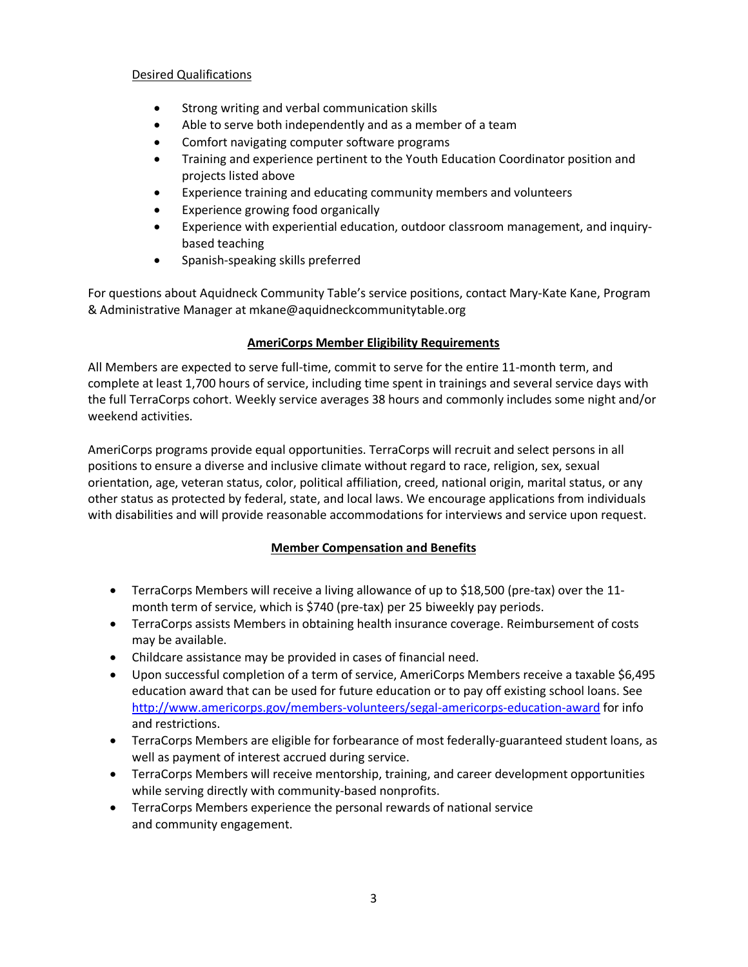## Desired Qualifications

- Strong writing and verbal communication skills
- Able to serve both independently and as a member of a team
- Comfort navigating computer software programs
- Training and experience pertinent to the Youth Education Coordinator position and projects listed above
- Experience training and educating community members and volunteers
- Experience growing food organically
- Experience with experiential education, outdoor classroom management, and inquirybased teaching
- Spanish-speaking skills preferred

For questions about Aquidneck Community Table's service positions, contact Mary-Kate Kane, Program & Administrative Manager at mkane@aquidneckcommunitytable.org

### **AmeriCorps Member Eligibility Requirements**

All Members are expected to serve full-time, commit to serve for the entire 11-month term, and complete at least 1,700 hours of service, including time spent in trainings and several service days with the full TerraCorps cohort. Weekly service averages 38 hours and commonly includes some night and/or weekend activities.

AmeriCorps programs provide equal opportunities. TerraCorps will recruit and select persons in all positions to ensure a diverse and inclusive climate without regard to race, religion, sex, sexual orientation, age, veteran status, color, political affiliation, creed, national origin, marital status, or any other status as protected by federal, state, and local laws. We encourage applications from individuals with disabilities and will provide reasonable accommodations for interviews and service upon request.

# **Member Compensation and Benefits**

- TerraCorps Members will receive a living allowance of up to \$18,500 (pre-tax) over the 11 month term of service, which is \$740 (pre-tax) per 25 biweekly pay periods.
- TerraCorps assists Members in obtaining health insurance coverage. Reimbursement of costs may be available.
- Childcare assistance may be provided in cases of financial need.
- Upon successful completion of a term of service, AmeriCorps Members receive a taxable \$6,495 education award that can be used for future education or to pay off existing school loans. See <http://www.americorps.gov/members-volunteers/segal-americorps-education-award> for info and restrictions.
- TerraCorps Members are eligible for forbearance of most federally-guaranteed student loans, as well as payment of interest accrued during service.
- TerraCorps Members will receive mentorship, training, and career development opportunities while serving directly with community-based nonprofits.
- TerraCorps Members experience the personal rewards of national service and community engagement.